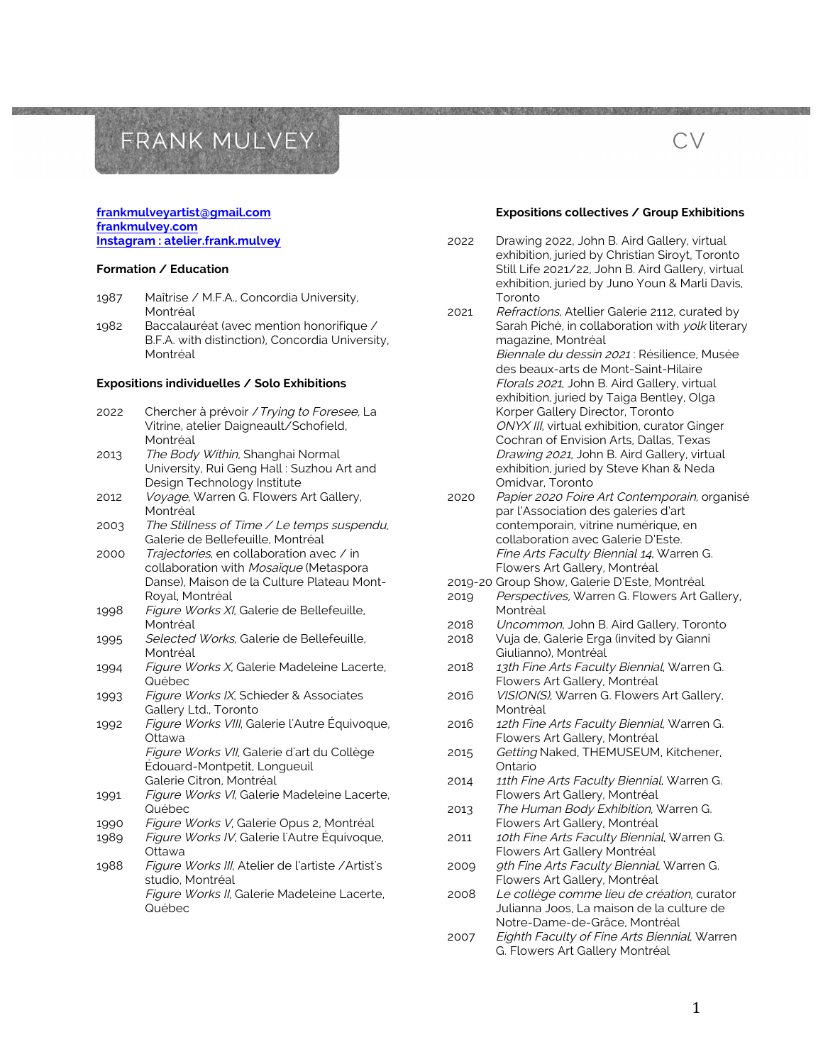#### **frankmulveyartist@gmail.com frankmulvey.com Instagram : atelier.frank.mulvey**

#### **Formation / Education**

- 1987 Maîtrise / M.F.A., Concordia University, Montréal
- 1982 Baccalauréat (avec mention honorifique / B.F.A. with distinction), Concordia University, Montréal

#### **Expositions individuelles / Solo Exhibitions**

2022 Chercher à prévoir /Trying to Foresee, La Vitrine, atelier Daigneault/Schofield, Montréal 2013 The Body Within, Shanghai Normal University, Rui Geng Hall : Suzhou Art and Design Technology Institute 2012 Voyage, Warren G. Flowers Art Gallery, Montréal 2003 The Stillness of Time / Le temps suspendu, Galerie de Bellefeuille, Montréal 2000 Trajectories, en collaboration avec / in collaboration with Mosaïque (Metaspora Danse), Maison de la Culture Plateau Mont-Royal, Montréal 1998 Figure Works XI, Galerie de Bellefeuille, Montréal 1995 Selected Works, Galerie de Bellefeuille, Montréal 1994 Figure Works X, Galerie Madeleine Lacerte, Québec 1993 Figure Works IX, Schieder & Associates Gallery Ltd., Toronto 1992 Figure Works VIII, Galerie l'Autre Équivoque, Ottawa Figure Works VII, Galerie d'art du Collège Édouard-Montpetit, Longueuil Galerie Citron, Montréal 1991 Figure Works VI, Galerie Madeleine Lacerte, Québec 1990 Figure Works V, Galerie Opus 2, Montréal 1989 Figure Works IV, Galerie l'Autre Équivoque, Ottawa 1988 Figure Works III, Atelier de l'artiste /Artist's studio, Montréal Figure Works II, Galerie Madeleine Lacerte, Québec

#### **Expositions collectives / Group Exhibitions**

CV

2022 Drawing 2022, John B. Aird Gallery, virtual exhibition, juried by Christian Siroyt, Toronto Still Life 2021/22, John B. Aird Gallery, virtual exhibition, juried by Juno Youn & Marli Davis, Toronto

2021 Refractions, Atellier Galerie 2112, curated by Sarah Piché, in collaboration with yolk literary magazine, Montréal Biennale du dessin 2021 : Résilience, Musée des beaux-arts de Mont-Saint-Hilaire Florals 2021, John B. Aird Gallery, virtual exhibition, juried by Taiga Bentley, Olga Korper Gallery Director, Toronto ONYX III, virtual exhibition, curator Ginger Cochran of Envision Arts, Dallas, Texas Drawing 2021, John B. Aird Gallery, virtual exhibition, juried by Steve Khan & Neda Omidvar, Toronto

- 2020 Papier 2020 Foire Art Contemporain, organisé par l'Association des galeries d'art contemporain, vitrine numérique, en collaboration avec Galerie D'Este. Fine Arts Faculty Biennial 14, Warren G. Flowers Art Gallery, Montréal
- 2019-20 Group Show, Galerie D'Este, Montréal
- 2019 Perspectives, Warren G. Flowers Art Gallery, Montrèal
- 2018 Uncommon, John B. Aird Gallery, Toronto
- 2018 Vuja de, Galerie Erga (invited by Gianni Giulianno), Montréal
- 2018 13th Fine Arts Faculty Biennial, Warren G. Flowers Art Gallery, Montréal
- 2016 VISION(S), Warren G. Flowers Art Gallery, Montrèal
- 2016 12th Fine Arts Faculty Biennial, Warren G. Flowers Art Gallery, Montréal
- 2015 Getting Naked, THEMUSEUM, Kitchener, Ontario
- 2014 11th Fine Arts Faculty Biennial, Warren G. Flowers Art Gallery, Montréal
- 2013 The Human Body Exhibition, Warren G. Flowers Art Gallery, Montréal
- 2011 10th Fine Arts Faculty Biennial, Warren G. Flowers Art Gallery Montréal
- 2009 9th Fine Arts Faculty Biennial, Warren G. Flowers Art Gallery, Montréal
- 2008 Le collège comme lieu de création, curator Julianna Joos, La maison de la culture de Notre-Dame-de-Grâce, Montréal
- 2007 Eighth Faculty of Fine Arts Biennial, Warren G. Flowers Art Gallery Montréal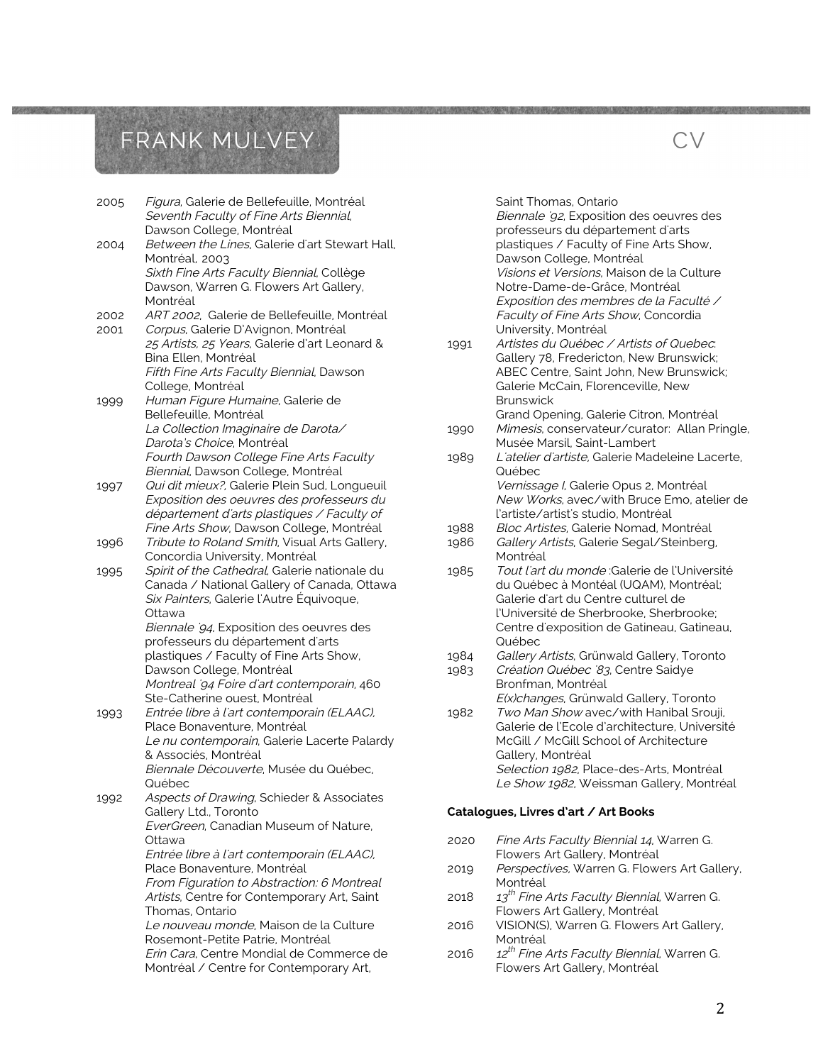| 2005 | Figura, Galerie de Bellefeuille, Montréal<br>Seventh Faculty of Fine Arts Biennial,<br>Dawson College, Montréal |
|------|-----------------------------------------------------------------------------------------------------------------|
| 2004 | Between the Lines, Galerie d'art Stewart Hall,<br>Montréal, 2003                                                |
|      | Sixth Fine Arts Faculty Biennial, Collège                                                                       |
|      | Dawson, Warren G. Flowers Art Gallery,                                                                          |
|      | Montréal                                                                                                        |
| 2002 | ART 2002, Galerie de Bellefeuille, Montréal                                                                     |
| 2001 | Corpus, Galerie D'Avignon, Montréal                                                                             |
|      | 25 Artists, 25 Years, Galerie d'art Leonard &<br>Bina Ellen, Montréal                                           |
|      | Fifth Fine Arts Faculty Biennial, Dawson                                                                        |
|      | College, Montréal                                                                                               |
| 1999 | Human Figure Humaine, Galerie de                                                                                |
|      | Bellefeuille, Montréal                                                                                          |
|      | La Collection Imaginaire de Darota/                                                                             |
|      | Darota's Choice, Montréal                                                                                       |
|      | Fourth Dawson College Fine Arts Faculty                                                                         |
|      | Biennial, Dawson College, Montréal                                                                              |
| 1997 | Qui dit mieux?, Galerie Plein Sud, Longueuil                                                                    |
|      | Exposition des oeuvres des professeurs du                                                                       |
|      | département d'arts plastiques / Faculty of                                                                      |
|      | Fine Arts Show, Dawson College, Montréal                                                                        |
| 1996 | Tribute to Roland Smith, Visual Arts Gallery,                                                                   |
|      | Concordia University, Montréal                                                                                  |
| 1995 | Spirit of the Cathedral, Galerie nationale du<br>Canada / National Gallery of Canada, Ottawa                    |
|      | Six Painters, Galerie l'Autre Équivoque,                                                                        |
|      | Ottawa                                                                                                          |
|      | Biennale '94, Exposition des oeuvres des                                                                        |
|      | professeurs du département d'arts                                                                               |
|      | plastiques / Faculty of Fine Arts Show,                                                                         |
|      | Dawson College, Montréal                                                                                        |
|      | Montreal 94 Foire d'art contemporain, 460                                                                       |
|      | Ste-Catherine ouest, Montréal                                                                                   |
| 1993 | Entrée libre à l'art contemporain (ELAAC),                                                                      |
|      | Place Bonaventure, Montréal<br>Le nu contemporain, Galerie Lacerte Palardy                                      |
|      | & Associés, Montréal                                                                                            |
|      | Biennale Découverte, Musée du Québec,                                                                           |
|      | Québec                                                                                                          |
| 1992 | Aspects of Drawing, Schieder & Associates                                                                       |
|      | Gallery Ltd., Toronto                                                                                           |
|      | EverGreen, Canadian Museum of Nature,                                                                           |
|      | Ottawa                                                                                                          |
|      | Entrée libre à l'art contemporain (ELAAC),                                                                      |
|      | Place Bonaventure, Montréal                                                                                     |
|      | From Figuration to Abstraction: 6 Montreal                                                                      |
|      | Artists, Centre for Contemporary Art, Saint<br>Thomas, Ontario                                                  |
|      | Le nouveau monde, Maison de la Culture                                                                          |
|      | Rosemont-Petite Patrie, Montréal                                                                                |
|      | Erin Cara, Centre Mondial de Commerce de                                                                        |
|      | Montréal / Centre for Contemporary Art,                                                                         |

Saint Thomas, Ontario

Biennale '92, Exposition des oeuvres des professeurs du département d'arts plastiques / Faculty of Fine Arts Show, Dawson College, Montréal Visions et Versions, Maison de la Culture Notre-Dame-de-Grâce, Montréal Exposition des membres de la Faculté / Faculty of Fine Arts Show, Concordia University, Montréal

CV

- 1991 Artistes du Québec / Artists of Quebec: Gallery 78, Fredericton, New Brunswick; ABEC Centre, Saint John, New Brunswick; Galerie McCain, Florenceville, New **Brunswick**
- Grand Opening, Galerie Citron, Montréal 1990 Mimesis, conservateur/curator: Allan Pringle, Musée Marsil, Saint-Lambert
- 1989 L'atelier d'artiste, Galerie Madeleine Lacerte, Québec Vernissage I, Galerie Opus 2, Montréal New Works, avec/with Bruce Emo, atelier de l'artiste/artist's studio, Montréal
- 1988 Bloc Artistes, Galerie Nomad, Montréal
- 1986 Gallery Artists, Galerie Segal/Steinberg, Montréal
- 1985 Tout l'art du monde :Galerie de l'Université du Québec à Montéal (UQAM), Montréal; Galerie d'art du Centre culturel de l'Université de Sherbrooke, Sherbrooke; Centre d'exposition de Gatineau, Gatineau, Québec
- 1984 Gallery Artists, Grünwald Gallery, Toronto
- 1983 Création Québec '83, Centre Saidye Bronfman, Montréal E(x)changes, Grünwald Gallery, Toronto
- 1982 Two Man Show avec/with Hanibal Srouji, Galerie de l'Ecole d'architecture, Université McGill / McGill School of Architecture Gallery, Montréal Selection 1982, Place-des-Arts, Montréal Le Show 1982, Weissman Gallery, Montréal

#### **Catalogues, Livres d'art / Art Books**

- 2020 Fine Arts Faculty Biennial 14, Warren G. Flowers Art Gallery, Montréal
- 2019 Perspectives, Warren G. Flowers Art Gallery, Montréal
- 2018  $13<sup>th</sup>$  Fine Arts Faculty Biennial, Warren G. Flowers Art Gallery, Montréal
- 2016 VISION(S), Warren G. Flowers Art Gallery, Montréal
- 2016  $12^{th}$  Fine Arts Faculty Biennial, Warren G. Flowers Art Gallery, Montréal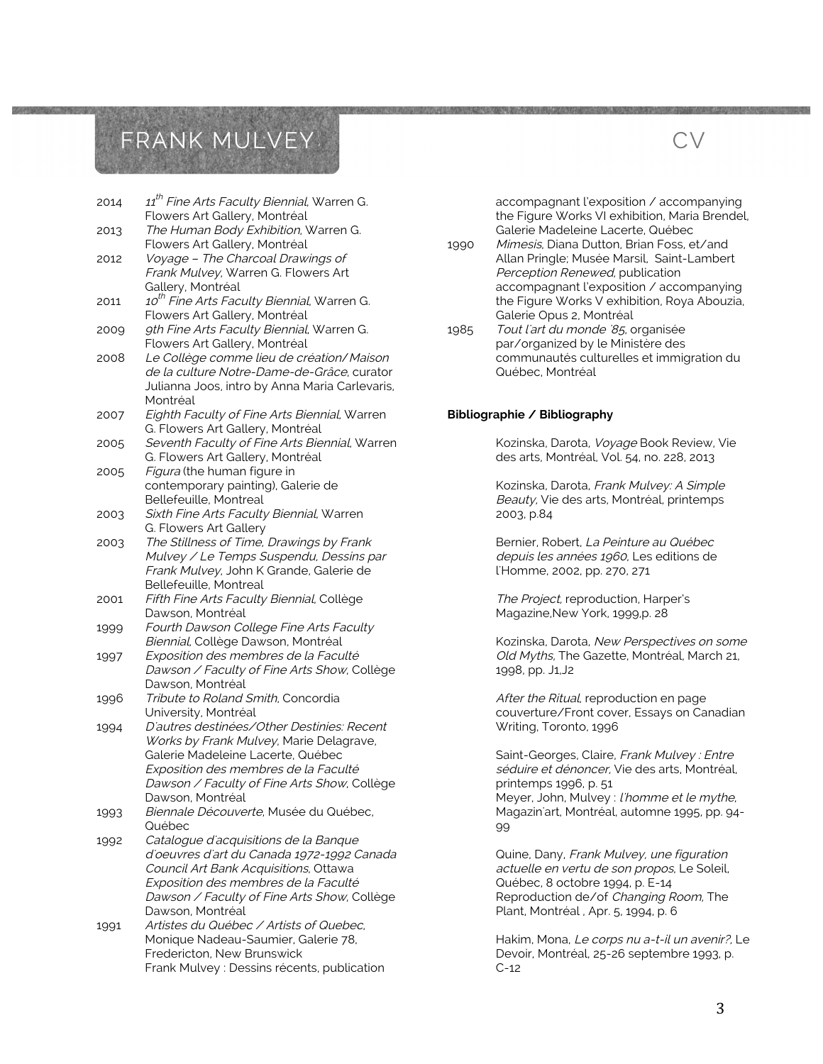| 2014 | 11 <sup>th</sup> Fine Arts Faculty Biennial, Warren G.<br>Flowers Art Gallery, Montréal |
|------|-----------------------------------------------------------------------------------------|
| 2013 | The Human Body Exhibition, Warren G.                                                    |
|      | Flowers Art Gallery, Montréal<br>Voyage - The Charcoal Drawings of                      |
| 2012 |                                                                                         |
|      | Frank Mulvey, Warren G. Flowers Art                                                     |
|      | Gallery, Montréal                                                                       |
| 2011 | 10 <sup>th</sup> Fine Arts Faculty Biennial, Warren G.                                  |
|      | Flowers Art Gallery, Montréal                                                           |
| 2009 | 9th Fine Arts Faculty Biennial, Warren G.                                               |
|      | Flowers Art Gallery, Montréal                                                           |
| 2008 | Le Collège comme lieu de création/Maison                                                |
|      | de la culture Notre-Dame-de-Grâce, curator                                              |
|      | Julianna Joos, intro by Anna Maria Carlevaris,                                          |
|      | Montréal                                                                                |
| 2007 | Eighth Faculty of Fine Arts Biennial, Warren                                            |
|      | G. Flowers Art Gallery, Montréal                                                        |
| 2005 | Seventh Faculty of Fine Arts Biennial, Warren                                           |
|      | G. Flowers Art Gallery, Montréal                                                        |
| 2005 | Figura (the human figure in                                                             |
|      | contemporary painting), Galerie de                                                      |
|      | Bellefeuille, Montreal                                                                  |
| 2003 | Sixth Fine Arts Faculty Biennial, Warren                                                |
|      | G. Flowers Art Gallery                                                                  |
| 2003 | The Stillness of Time, Drawings by Frank                                                |
|      | Mulvey / Le Temps Suspendu, Dessins par                                                 |
|      | Frank Mulvey, John K Grande, Galerie de                                                 |
|      | Bellefeuille, Montreal                                                                  |
| 2001 | Fifth Fine Arts Faculty Biennial, Collège                                               |
|      | Dawson, Montréal                                                                        |
| 1999 | Fourth Dawson College Fine Arts Faculty                                                 |
|      | Biennial, Collège Dawson, Montréal                                                      |
| 1997 | Exposition des membres de la Faculté                                                    |
|      | Dawson / Faculty of Fine Arts Show, Collège                                             |
|      | Dawson, Montréal                                                                        |
| 1996 | Tribute to Roland Smith, Concordia                                                      |
|      | University, Montréal                                                                    |
| 1994 | D'autres destinées/Other Destinies: Recent                                              |
|      | Works by Frank Mulvey, Marie Delagrave,                                                 |
|      | Galerie Madeleine Lacerte, Québec                                                       |
|      | Exposition des membres de la Faculté                                                    |
|      | Dawson / Faculty of Fine Arts Show, Collège                                             |
|      | Dawson, Montréal                                                                        |
| 1993 | Biennale Découverte, Musée du Québec,                                                   |
|      | Québec                                                                                  |
|      |                                                                                         |
| 1992 | Catalogue d'acquisitions de la Banque<br>d'oeuvres d'art du Canada 1972-1992 Canada     |
|      | Council Art Bank Acquisitions, Ottawa                                                   |
|      |                                                                                         |
|      | Exposition des membres de la Faculté                                                    |
|      | Dawson / Faculty of Fine Arts Show, Collège                                             |
|      | Dawson, Montréal                                                                        |
| 1991 | Artistes du Québec / Artists of Quebec,                                                 |
|      | Monique Nadeau-Saumier, Galerie 78,                                                     |
|      | Fredericton, New Brunswick                                                              |
|      | Frank Mulvey : Dessins récents, publication                                             |

accompagnant l'exposition / accompanying the Figure Works VI exhibition, Maria Brendel, Galerie Madeleine Lacerte, Québec

CV

- 1990 Mimesis, Diana Dutton, Brian Foss, et/and Allan Pringle; Musée Marsil, Saint-Lambert Perception Renewed, publication accompagnant l'exposition / accompanying the Figure Works V exhibition, Roya Abouzia, Galerie Opus 2, Montréal
- 1985 Tout l'art du monde '85, organisée par/organized by le Ministère des communautés culturelles et immigration du Québec, Montréal

#### **Bibliographie / Bibliography**

Kozinska, Darota, Voyage Book Review, Vie des arts, Montréal, Vol. 54, no. 228, 2013

Kozinska, Darota, Frank Mulvey: A Simple Beauty, Vie des arts, Montréal, printemps 2003, p.84

Bernier, Robert, La Peinture au Québec depuis les années 1960, Les editions de l'Homme, 2002, pp. 270, 271

The Project, reproduction, Harper's Magazine,New York, 1999,p. 28

Kozinska, Darota, New Perspectives on some Old Myths, The Gazette, Montréal, March 21, 1998, pp. J1,J2

After the Ritual, reproduction en page couverture/Front cover, Essays on Canadian Writing, Toronto, 1996

Saint-Georges, Claire, Frank Mulvey : Entre séduire et dénoncer, Vie des arts, Montréal, printemps 1996, p. 51 Meyer, John, Mulvey : l'homme et le mythe, Magazin'art, Montréal, automne 1995, pp. 94- 99

Quine, Dany, Frank Mulvey, une figuration actuelle en vertu de son propos, Le Soleil, Québec, 8 octobre 1994, p. E-14 Reproduction de/of Changing Room, The Plant, Montréal , Apr. 5, 1994, p. 6

Hakim, Mona, Le corps nu a-t-il un avenir?, Le Devoir, Montréal, 25-26 septembre 1993, p. C-12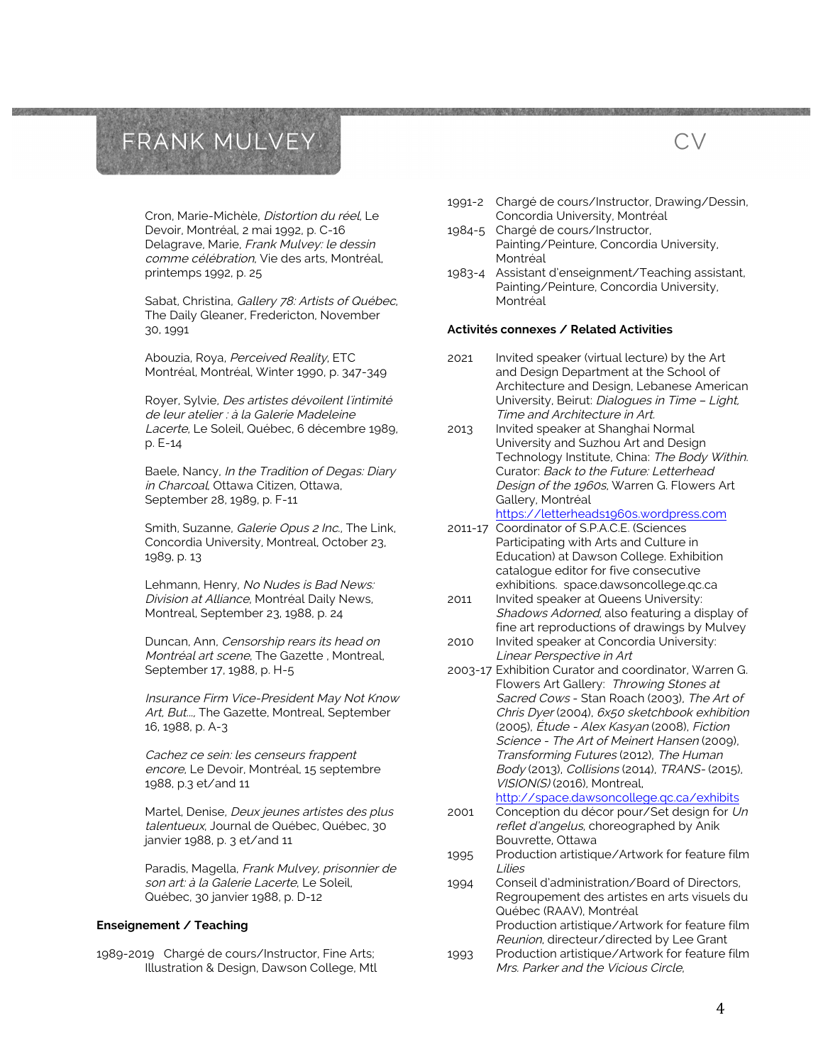Cron, Marie-Michèle, Distortion du réel, Le Devoir, Montréal, 2 mai 1992, p. C-16 Delagrave, Marie, Frank Mulvey: le dessin comme célébration, Vie des arts, Montréal, printemps 1992, p. 25

Sabat, Christina, Gallery 78: Artists of Québec, The Daily Gleaner, Fredericton, November 30, 1991

Abouzia, Roya, Perceived Reality, ETC Montréal, Montréal, Winter 1990, p. 347-349

Royer, Sylvie, Des artistes dévoilent l'intimité de leur atelier : à la Galerie Madeleine Lacerte, Le Soleil, Québec, 6 décembre 1989, p. E-14

Baele, Nancy, In the Tradition of Degas: Diary in Charcoal, Ottawa Citizen, Ottawa, September 28, 1989, p. F-11

Smith, Suzanne, Galerie Opus 2 Inc., The Link, Concordia University, Montreal, October 23, 1989, p. 13

Lehmann, Henry, No Nudes is Bad News: Division at Alliance, Montréal Daily News, Montreal, September 23, 1988, p. 24

Duncan, Ann, Censorship rears its head on Montréal art scene, The Gazette , Montreal, September 17, 1988, p. H-5

Insurance Firm Vice-President May Not Know Art, But..., The Gazette, Montreal, September 16, 1988, p. A-3

Cachez ce sein: les censeurs frappent encore, Le Devoir, Montréal, 15 septembre 1988, p.3 et/and 11

Martel, Denise, Deux jeunes artistes des plus talentueux, Journal de Québec, Québec, 30 janvier 1988, p. 3 et/and 11

Paradis, Magella, Frank Mulvey, prisonnier de son art: à la Galerie Lacerte, Le Soleil, Québec, 30 janvier 1988, p. D-12

#### **Enseignement / Teaching**

1989-2019 Chargé de cours/Instructor, Fine Arts; Illustration & Design, Dawson College, Mtl 1991-2 Chargé de cours/Instructor, Drawing/Dessin, Concordia University, Montréal

CV

- 1984-5 Chargé de cours/Instructor, Painting/Peinture, Concordia University, Montréal
- 1983-4 Assistant d'enseignment/Teaching assistant, Painting/Peinture, Concordia University, Montréal

#### **Activités connexes / Related Activities**

- 2021 Invited speaker (virtual lecture) by the Art and Design Department at the School of Architecture and Design, Lebanese American University, Beirut: Dialogues in Time – Light, Time and Architecture in Art.
- 2013 Invited speaker at Shanghai Normal University and Suzhou Art and Design Technology Institute, China: The Body Within. Curator: Back to the Future: Letterhead Design of the 1960s, Warren G. Flowers Art Gallery, Montréal https://letterheads1960s.wordpress.com
- 2011-17 Coordinator of S.P.A.C.E. (Sciences Participating with Arts and Culture in Education) at Dawson College. Exhibition catalogue editor for five consecutive exhibitions. space.dawsoncollege.qc.ca
- 2011 Invited speaker at Queens University: Shadows Adorned, also featuring a display of fine art reproductions of drawings by Mulvey 2010 Invited speaker at Concordia University:
- Linear Perspective in Art
- 2003-17 Exhibition Curator and coordinator, Warren G. Flowers Art Gallery: Throwing Stones at Sacred Cows - Stan Roach (2003), The Art of Chris Dyer (2004), 6x50 sketchbook exhibition (2005), Étude - Alex Kasyan (2008), Fiction Science - The Art of Meinert Hansen (2009), Transforming Futures (2012), The Human Body (2013), Collisions (2014), TRANS- (2015), VISION(S) (2016), Montreal,

http://space.dawsoncollege.qc.ca/exhibits

- 2001 Conception du décor pour/Set design for Un reflet d'angelus, choreographed by Anik Bouvrette, Ottawa
- 1995 Production artistique/Artwork for feature film Lilies
- 1994 Conseil d'administration/Board of Directors, Regroupement des artistes en arts visuels du Québec (RAAV), Montréal Production artistique/Artwork for feature film Reunion, directeur/directed by Lee Grant
- 1993 Production artistique/Artwork for feature film Mrs. Parker and the Vicious Circle,